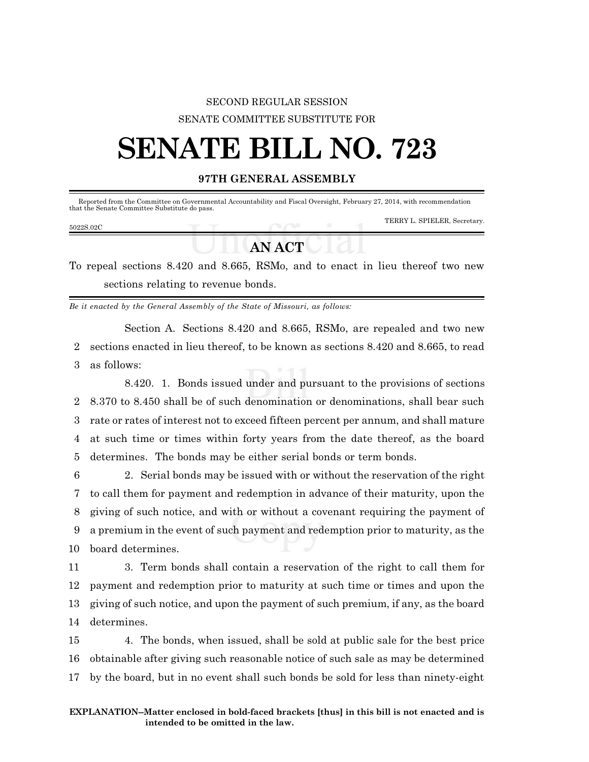## SECOND REGULAR SESSION SENATE COMMITTEE SUBSTITUTE FOR

## **SENATE BILL NO. 723**

## **97TH GENERAL ASSEMBLY**

| that the Senate Committee Substitute do pass. |               | Reported from the Committee on Governmental Accountability and Fiscal Oversight, February 27, 2014, with recommendation |
|-----------------------------------------------|---------------|-------------------------------------------------------------------------------------------------------------------------|
| 5022S.02C                                     |               | TERRY L. SPIELER, Secretary.                                                                                            |
|                                               | <b>AN ACT</b> |                                                                                                                         |

To repeal sections 8.420 and 8.665, RSMo, and to enact in lieu thereof two new sections relating to revenue bonds.

*Be it enacted by the General Assembly of the State of Missouri, as follows:*

Section A. Sections 8.420 and 8.665, RSMo, are repealed and two new 2 sections enacted in lieu thereof, to be known as sections 8.420 and 8.665, to read 3 as follows:

8.420. 1. Bonds issued under and pursuant to the provisions of sections 8.370 to 8.450 shall be of such denomination or denominations, shall bear such rate or rates of interest not to exceed fifteen percent per annum, and shall mature at such time or times within forty years from the date thereof, as the board determines. The bonds may be either serial bonds or term bonds.

 2. Serial bonds may be issued with or without the reservation of the right to call them for payment and redemption in advance of their maturity, upon the giving of such notice, and with or without a covenant requiring the payment of a premium in the event of such payment and redemption prior to maturity, as the board determines.

 3. Term bonds shall contain a reservation of the right to call them for payment and redemption prior to maturity at such time or times and upon the giving of such notice, and upon the payment of such premium, if any, as the board determines.

15 4. The bonds, when issued, shall be sold at public sale for the best price 16 obtainable after giving such reasonable notice of such sale as may be determined 17 by the board, but in no event shall such bonds be sold for less than ninety-eight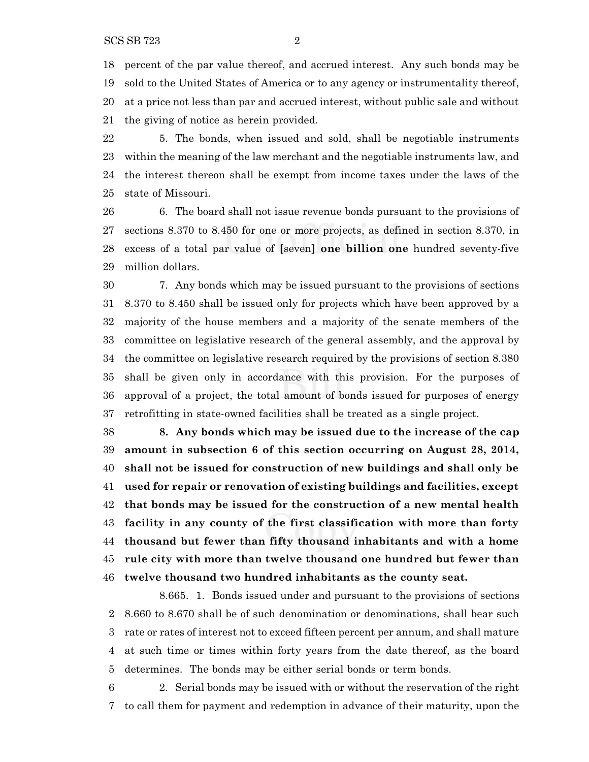percent of the par value thereof, and accrued interest. Any such bonds may be sold to the United States of America or to any agency or instrumentality thereof, at a price not less than par and accrued interest, without public sale and without the giving of notice as herein provided.

 5. The bonds, when issued and sold, shall be negotiable instruments within the meaning of the law merchant and the negotiable instruments law, and the interest thereon shall be exempt from income taxes under the laws of the state of Missouri.

 6. The board shall not issue revenue bonds pursuant to the provisions of sections 8.370 to 8.450 for one or more projects, as defined in section 8.370, in excess of a total par value of **[**seven**] one billion one** hundred seventy-five million dollars.

 7. Any bonds which may be issued pursuant to the provisions of sections 8.370 to 8.450 shall be issued only for projects which have been approved by a majority of the house members and a majority of the senate members of the committee on legislative research of the general assembly, and the approval by the committee on legislative research required by the provisions of section 8.380 shall be given only in accordance with this provision. For the purposes of approval of a project, the total amount of bonds issued for purposes of energy retrofitting in state-owned facilities shall be treated as a single project.

 **8. Any bonds which may be issued due to the increase of the cap amount in subsection 6 of this section occurring on August 28, 2014, shall not be issued for construction of new buildings and shall only be used for repair or renovation of existing buildings and facilities, except that bonds may be issued for the construction of a new mental health facility in any county of the first classification with more than forty thousand but fewer than fifty thousand inhabitants and with a home rule city with more than twelve thousand one hundred but fewer than twelve thousand two hundred inhabitants as the county seat.**

8.665. 1. Bonds issued under and pursuant to the provisions of sections 8.660 to 8.670 shall be of such denomination or denominations, shall bear such rate or rates of interest not to exceed fifteen percent per annum, and shall mature at such time or times within forty years from the date thereof, as the board determines. The bonds may be either serial bonds or term bonds.

 2. Serial bonds may be issued with or without the reservation of the right to call them for payment and redemption in advance of their maturity, upon the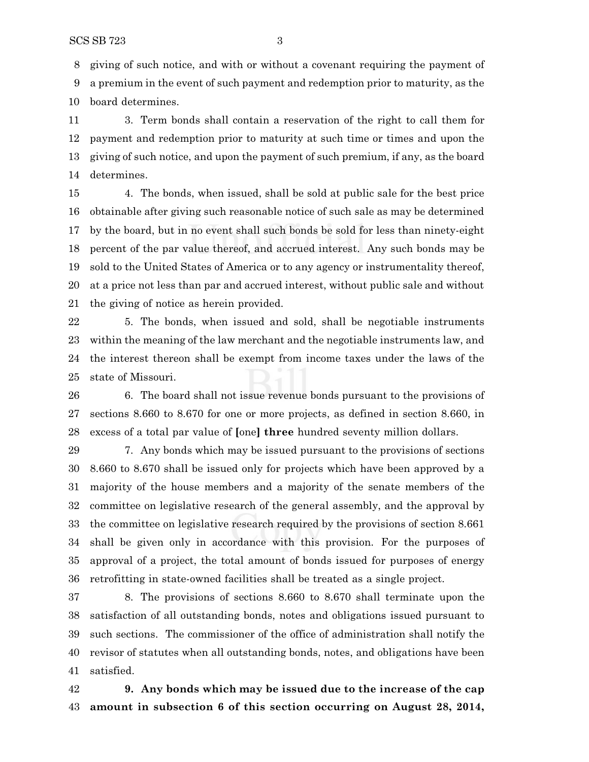giving of such notice, and with or without a covenant requiring the payment of a premium in the event of such payment and redemption prior to maturity, as the board determines.

 3. Term bonds shall contain a reservation of the right to call them for payment and redemption prior to maturity at such time or times and upon the giving of such notice, and upon the payment of such premium, if any, as the board determines.

 4. The bonds, when issued, shall be sold at public sale for the best price obtainable after giving such reasonable notice of such sale as may be determined by the board, but in no event shall such bonds be sold for less than ninety-eight percent of the par value thereof, and accrued interest. Any such bonds may be sold to the United States of America or to any agency or instrumentality thereof, at a price not less than par and accrued interest, without public sale and without the giving of notice as herein provided.

 5. The bonds, when issued and sold, shall be negotiable instruments within the meaning of the law merchant and the negotiable instruments law, and the interest thereon shall be exempt from income taxes under the laws of the state of Missouri.

 6. The board shall not issue revenue bonds pursuant to the provisions of sections 8.660 to 8.670 for one or more projects, as defined in section 8.660, in excess of a total par value of **[**one**] three** hundred seventy million dollars.

 7. Any bonds which may be issued pursuant to the provisions of sections 8.660 to 8.670 shall be issued only for projects which have been approved by a majority of the house members and a majority of the senate members of the committee on legislative research of the general assembly, and the approval by the committee on legislative research required by the provisions of section 8.661 shall be given only in accordance with this provision. For the purposes of approval of a project, the total amount of bonds issued for purposes of energy retrofitting in state-owned facilities shall be treated as a single project.

 8. The provisions of sections 8.660 to 8.670 shall terminate upon the satisfaction of all outstanding bonds, notes and obligations issued pursuant to such sections. The commissioner of the office of administration shall notify the revisor of statutes when all outstanding bonds, notes, and obligations have been satisfied.

 **9. Any bonds which may be issued due to the increase of the cap amount in subsection 6 of this section occurring on August 28, 2014,**